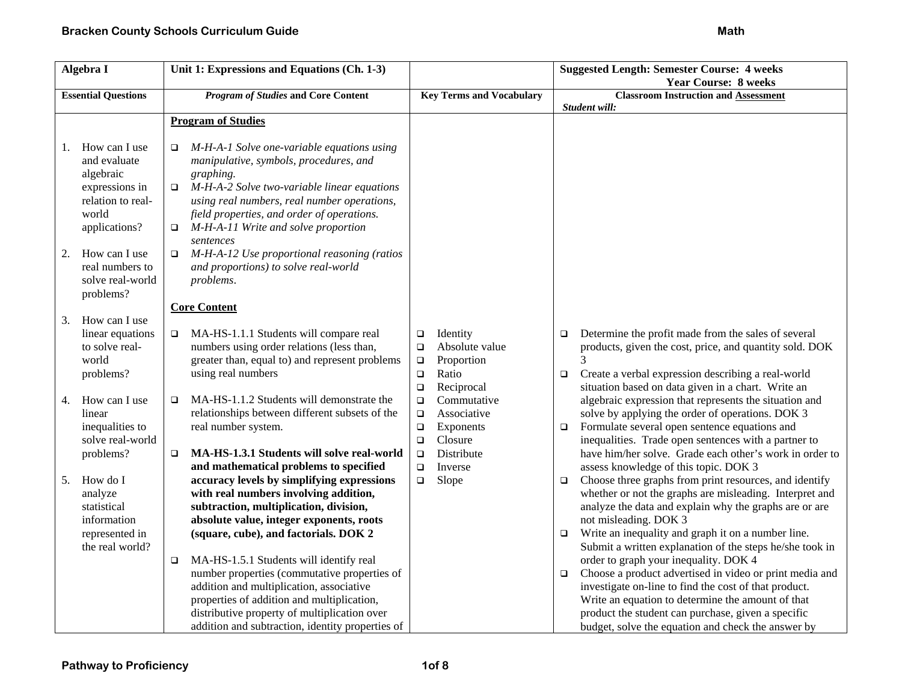| Algebra I                  |                                                                                                             | Unit 1: Expressions and Equations (Ch. 1-3)                                                                                                                                                                                                                                                                                     |                                                                    |                                                                                               | <b>Suggested Length: Semester Course: 4 weeks</b> |                                                                                                                                                                                                                                                                                                                                          |  |
|----------------------------|-------------------------------------------------------------------------------------------------------------|---------------------------------------------------------------------------------------------------------------------------------------------------------------------------------------------------------------------------------------------------------------------------------------------------------------------------------|--------------------------------------------------------------------|-----------------------------------------------------------------------------------------------|---------------------------------------------------|------------------------------------------------------------------------------------------------------------------------------------------------------------------------------------------------------------------------------------------------------------------------------------------------------------------------------------------|--|
| <b>Essential Questions</b> |                                                                                                             | <b>Program of Studies and Core Content</b>                                                                                                                                                                                                                                                                                      |                                                                    | <b>Key Terms and Vocabulary</b>                                                               |                                                   | <b>Year Course: 8 weeks</b><br><b>Classroom Instruction and Assessment</b>                                                                                                                                                                                                                                                               |  |
|                            |                                                                                                             |                                                                                                                                                                                                                                                                                                                                 |                                                                    |                                                                                               |                                                   | Student will:                                                                                                                                                                                                                                                                                                                            |  |
|                            |                                                                                                             | <b>Program of Studies</b>                                                                                                                                                                                                                                                                                                       |                                                                    |                                                                                               |                                                   |                                                                                                                                                                                                                                                                                                                                          |  |
| 1.                         | How can I use<br>and evaluate<br>algebraic<br>expressions in<br>relation to real-<br>world<br>applications? | M-H-A-1 Solve one-variable equations using<br>$\Box$<br>manipulative, symbols, procedures, and<br>graphing.<br>M-H-A-2 Solve two-variable linear equations<br>$\Box$<br>using real numbers, real number operations,<br>field properties, and order of operations.<br>M-H-A-11 Write and solve proportion<br>$\Box$<br>sentences |                                                                    |                                                                                               |                                                   |                                                                                                                                                                                                                                                                                                                                          |  |
| 2.                         | How can I use<br>real numbers to<br>solve real-world<br>problems?                                           | M-H-A-12 Use proportional reasoning (ratios<br>$\Box$<br>and proportions) to solve real-world<br>problems.                                                                                                                                                                                                                      |                                                                    |                                                                                               |                                                   |                                                                                                                                                                                                                                                                                                                                          |  |
|                            |                                                                                                             | <b>Core Content</b>                                                                                                                                                                                                                                                                                                             |                                                                    |                                                                                               |                                                   |                                                                                                                                                                                                                                                                                                                                          |  |
| 3.<br>4.                   | How can I use<br>linear equations<br>to solve real-<br>world<br>problems?<br>How can I use<br>linear        | MA-HS-1.1.1 Students will compare real<br>$\Box$<br>numbers using order relations (less than,<br>greater than, equal to) and represent problems<br>using real numbers<br>MA-HS-1.1.2 Students will demonstrate the<br>$\Box$<br>relationships between different subsets of the                                                  | $\Box$<br>$\Box$<br>$\Box$<br>$\Box$<br>$\Box$<br>$\Box$<br>$\Box$ | Identity<br>Absolute value<br>Proportion<br>Ratio<br>Reciprocal<br>Commutative<br>Associative | $\Box$<br>$\Box$                                  | Determine the profit made from the sales of several<br>products, given the cost, price, and quantity sold. DOK<br>Create a verbal expression describing a real-world<br>situation based on data given in a chart. Write an<br>algebraic expression that represents the situation and<br>solve by applying the order of operations. DOK 3 |  |
|                            | inequalities to<br>solve real-world<br>problems?                                                            | real number system.<br>MA-HS-1.3.1 Students will solve real-world<br>$\Box$<br>and mathematical problems to specified                                                                                                                                                                                                           | $\Box$<br>$\Box$<br>$\Box$<br>$\Box$                               | Exponents<br>Closure<br>Distribute<br>Inverse                                                 | $\Box$                                            | Formulate several open sentence equations and<br>inequalities. Trade open sentences with a partner to<br>have him/her solve. Grade each other's work in order to<br>assess knowledge of this topic. DOK 3                                                                                                                                |  |
| 5.                         | How do I<br>analyze<br>statistical<br>information                                                           | accuracy levels by simplifying expressions<br>with real numbers involving addition,<br>subtraction, multiplication, division,<br>absolute value, integer exponents, roots                                                                                                                                                       | $\Box$                                                             | Slope                                                                                         | $\Box$                                            | Choose three graphs from print resources, and identify<br>whether or not the graphs are misleading. Interpret and<br>analyze the data and explain why the graphs are or are<br>not misleading. DOK 3                                                                                                                                     |  |
|                            | represented in<br>the real world?                                                                           | (square, cube), and factorials. DOK 2<br>MA-HS-1.5.1 Students will identify real<br>$\Box$                                                                                                                                                                                                                                      |                                                                    |                                                                                               | $\Box$                                            | Write an inequality and graph it on a number line.<br>Submit a written explanation of the steps he/she took in<br>order to graph your inequality. DOK 4                                                                                                                                                                                  |  |
|                            |                                                                                                             | number properties (commutative properties of<br>addition and multiplication, associative<br>properties of addition and multiplication,<br>distributive property of multiplication over<br>addition and subtraction, identity properties of                                                                                      |                                                                    |                                                                                               | $\Box$                                            | Choose a product advertised in video or print media and<br>investigate on-line to find the cost of that product.<br>Write an equation to determine the amount of that<br>product the student can purchase, given a specific<br>budget, solve the equation and check the answer by                                                        |  |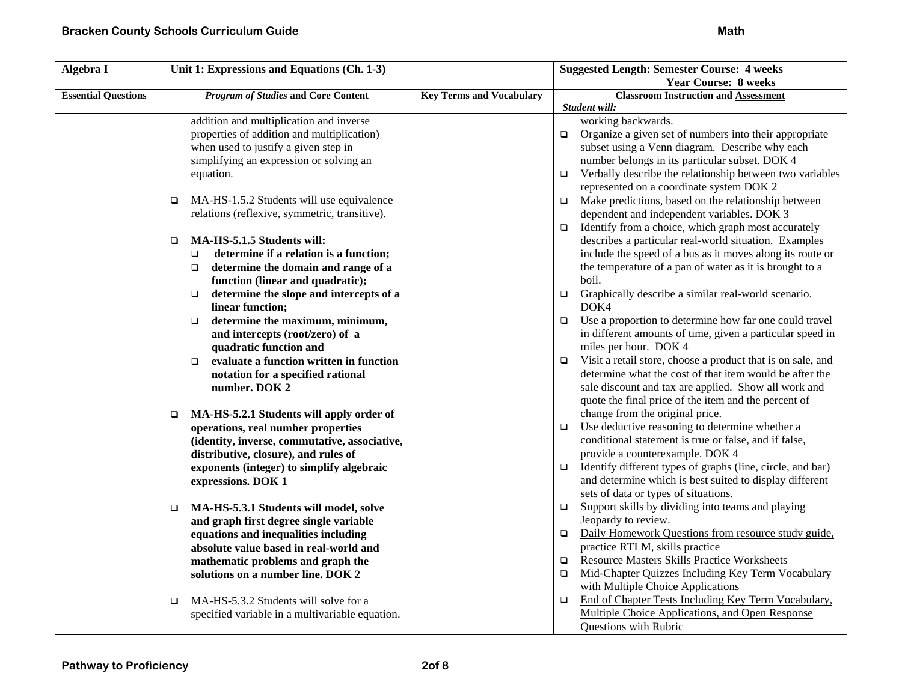| Algebra I                  | Unit 1: Expressions and Equations (Ch. 1-3)                                                                                                                                                                                                                                                                                                                                                                                                                                                                         |                                 | <b>Suggested Length: Semester Course: 4 weeks</b>                                                                                                                                                                                                                                                                                                                                                                                                                                                                                                                                                                                                                                                                                                                             |
|----------------------------|---------------------------------------------------------------------------------------------------------------------------------------------------------------------------------------------------------------------------------------------------------------------------------------------------------------------------------------------------------------------------------------------------------------------------------------------------------------------------------------------------------------------|---------------------------------|-------------------------------------------------------------------------------------------------------------------------------------------------------------------------------------------------------------------------------------------------------------------------------------------------------------------------------------------------------------------------------------------------------------------------------------------------------------------------------------------------------------------------------------------------------------------------------------------------------------------------------------------------------------------------------------------------------------------------------------------------------------------------------|
|                            |                                                                                                                                                                                                                                                                                                                                                                                                                                                                                                                     |                                 | <b>Year Course: 8 weeks</b>                                                                                                                                                                                                                                                                                                                                                                                                                                                                                                                                                                                                                                                                                                                                                   |
| <b>Essential Questions</b> | <b>Program of Studies and Core Content</b>                                                                                                                                                                                                                                                                                                                                                                                                                                                                          | <b>Key Terms and Vocabulary</b> | <b>Classroom Instruction and Assessment</b>                                                                                                                                                                                                                                                                                                                                                                                                                                                                                                                                                                                                                                                                                                                                   |
|                            |                                                                                                                                                                                                                                                                                                                                                                                                                                                                                                                     |                                 | Student will:                                                                                                                                                                                                                                                                                                                                                                                                                                                                                                                                                                                                                                                                                                                                                                 |
|                            | addition and multiplication and inverse                                                                                                                                                                                                                                                                                                                                                                                                                                                                             |                                 | working backwards.                                                                                                                                                                                                                                                                                                                                                                                                                                                                                                                                                                                                                                                                                                                                                            |
|                            | properties of addition and multiplication)                                                                                                                                                                                                                                                                                                                                                                                                                                                                          |                                 | Organize a given set of numbers into their appropriate<br>$\Box$                                                                                                                                                                                                                                                                                                                                                                                                                                                                                                                                                                                                                                                                                                              |
|                            | when used to justify a given step in                                                                                                                                                                                                                                                                                                                                                                                                                                                                                |                                 | subset using a Venn diagram. Describe why each                                                                                                                                                                                                                                                                                                                                                                                                                                                                                                                                                                                                                                                                                                                                |
|                            | simplifying an expression or solving an                                                                                                                                                                                                                                                                                                                                                                                                                                                                             |                                 | number belongs in its particular subset. DOK 4                                                                                                                                                                                                                                                                                                                                                                                                                                                                                                                                                                                                                                                                                                                                |
|                            | equation.                                                                                                                                                                                                                                                                                                                                                                                                                                                                                                           |                                 | Verbally describe the relationship between two variables<br>$\Box$                                                                                                                                                                                                                                                                                                                                                                                                                                                                                                                                                                                                                                                                                                            |
|                            |                                                                                                                                                                                                                                                                                                                                                                                                                                                                                                                     |                                 | represented on a coordinate system DOK 2                                                                                                                                                                                                                                                                                                                                                                                                                                                                                                                                                                                                                                                                                                                                      |
|                            | MA-HS-1.5.2 Students will use equivalence<br>$\Box$                                                                                                                                                                                                                                                                                                                                                                                                                                                                 |                                 | Make predictions, based on the relationship between<br>$\Box$                                                                                                                                                                                                                                                                                                                                                                                                                                                                                                                                                                                                                                                                                                                 |
|                            | relations (reflexive, symmetric, transitive).                                                                                                                                                                                                                                                                                                                                                                                                                                                                       |                                 | dependent and independent variables. DOK 3                                                                                                                                                                                                                                                                                                                                                                                                                                                                                                                                                                                                                                                                                                                                    |
|                            |                                                                                                                                                                                                                                                                                                                                                                                                                                                                                                                     |                                 | Identify from a choice, which graph most accurately<br>$\Box$                                                                                                                                                                                                                                                                                                                                                                                                                                                                                                                                                                                                                                                                                                                 |
|                            | MA-HS-5.1.5 Students will:<br>$\Box$                                                                                                                                                                                                                                                                                                                                                                                                                                                                                |                                 | describes a particular real-world situation. Examples                                                                                                                                                                                                                                                                                                                                                                                                                                                                                                                                                                                                                                                                                                                         |
|                            | determine if a relation is a function;<br>$\Box$                                                                                                                                                                                                                                                                                                                                                                                                                                                                    |                                 | include the speed of a bus as it moves along its route or                                                                                                                                                                                                                                                                                                                                                                                                                                                                                                                                                                                                                                                                                                                     |
|                            | determine the domain and range of a<br>$\Box$                                                                                                                                                                                                                                                                                                                                                                                                                                                                       |                                 | the temperature of a pan of water as it is brought to a                                                                                                                                                                                                                                                                                                                                                                                                                                                                                                                                                                                                                                                                                                                       |
|                            | function (linear and quadratic);                                                                                                                                                                                                                                                                                                                                                                                                                                                                                    |                                 | boil.                                                                                                                                                                                                                                                                                                                                                                                                                                                                                                                                                                                                                                                                                                                                                                         |
|                            | determine the slope and intercepts of a<br>$\Box$                                                                                                                                                                                                                                                                                                                                                                                                                                                                   |                                 | $\Box$<br>Graphically describe a similar real-world scenario.                                                                                                                                                                                                                                                                                                                                                                                                                                                                                                                                                                                                                                                                                                                 |
|                            | linear function;                                                                                                                                                                                                                                                                                                                                                                                                                                                                                                    |                                 | DOK4                                                                                                                                                                                                                                                                                                                                                                                                                                                                                                                                                                                                                                                                                                                                                                          |
|                            | determine the maximum, minimum,<br>$\Box$                                                                                                                                                                                                                                                                                                                                                                                                                                                                           |                                 | Use a proportion to determine how far one could travel<br>$\Box$                                                                                                                                                                                                                                                                                                                                                                                                                                                                                                                                                                                                                                                                                                              |
|                            | and intercepts (root/zero) of a                                                                                                                                                                                                                                                                                                                                                                                                                                                                                     |                                 | in different amounts of time, given a particular speed in                                                                                                                                                                                                                                                                                                                                                                                                                                                                                                                                                                                                                                                                                                                     |
|                            | quadratic function and                                                                                                                                                                                                                                                                                                                                                                                                                                                                                              |                                 | miles per hour. DOK 4                                                                                                                                                                                                                                                                                                                                                                                                                                                                                                                                                                                                                                                                                                                                                         |
|                            | evaluate a function written in function<br>$\Box$                                                                                                                                                                                                                                                                                                                                                                                                                                                                   |                                 | Visit a retail store, choose a product that is on sale, and<br>$\Box$                                                                                                                                                                                                                                                                                                                                                                                                                                                                                                                                                                                                                                                                                                         |
|                            | notation for a specified rational                                                                                                                                                                                                                                                                                                                                                                                                                                                                                   |                                 | determine what the cost of that item would be after the                                                                                                                                                                                                                                                                                                                                                                                                                                                                                                                                                                                                                                                                                                                       |
|                            | number. DOK 2                                                                                                                                                                                                                                                                                                                                                                                                                                                                                                       |                                 | sale discount and tax are applied. Show all work and                                                                                                                                                                                                                                                                                                                                                                                                                                                                                                                                                                                                                                                                                                                          |
|                            |                                                                                                                                                                                                                                                                                                                                                                                                                                                                                                                     |                                 | quote the final price of the item and the percent of                                                                                                                                                                                                                                                                                                                                                                                                                                                                                                                                                                                                                                                                                                                          |
|                            | MA-HS-5.2.1 Students will apply order of<br>$\Box$                                                                                                                                                                                                                                                                                                                                                                                                                                                                  |                                 | change from the original price.                                                                                                                                                                                                                                                                                                                                                                                                                                                                                                                                                                                                                                                                                                                                               |
|                            | operations, real number properties                                                                                                                                                                                                                                                                                                                                                                                                                                                                                  |                                 | Use deductive reasoning to determine whether a<br>$\Box$                                                                                                                                                                                                                                                                                                                                                                                                                                                                                                                                                                                                                                                                                                                      |
|                            |                                                                                                                                                                                                                                                                                                                                                                                                                                                                                                                     |                                 |                                                                                                                                                                                                                                                                                                                                                                                                                                                                                                                                                                                                                                                                                                                                                                               |
|                            |                                                                                                                                                                                                                                                                                                                                                                                                                                                                                                                     |                                 |                                                                                                                                                                                                                                                                                                                                                                                                                                                                                                                                                                                                                                                                                                                                                                               |
|                            |                                                                                                                                                                                                                                                                                                                                                                                                                                                                                                                     |                                 |                                                                                                                                                                                                                                                                                                                                                                                                                                                                                                                                                                                                                                                                                                                                                                               |
|                            |                                                                                                                                                                                                                                                                                                                                                                                                                                                                                                                     |                                 |                                                                                                                                                                                                                                                                                                                                                                                                                                                                                                                                                                                                                                                                                                                                                                               |
|                            |                                                                                                                                                                                                                                                                                                                                                                                                                                                                                                                     |                                 |                                                                                                                                                                                                                                                                                                                                                                                                                                                                                                                                                                                                                                                                                                                                                                               |
|                            |                                                                                                                                                                                                                                                                                                                                                                                                                                                                                                                     |                                 |                                                                                                                                                                                                                                                                                                                                                                                                                                                                                                                                                                                                                                                                                                                                                                               |
|                            |                                                                                                                                                                                                                                                                                                                                                                                                                                                                                                                     |                                 |                                                                                                                                                                                                                                                                                                                                                                                                                                                                                                                                                                                                                                                                                                                                                                               |
|                            |                                                                                                                                                                                                                                                                                                                                                                                                                                                                                                                     |                                 |                                                                                                                                                                                                                                                                                                                                                                                                                                                                                                                                                                                                                                                                                                                                                                               |
|                            |                                                                                                                                                                                                                                                                                                                                                                                                                                                                                                                     |                                 |                                                                                                                                                                                                                                                                                                                                                                                                                                                                                                                                                                                                                                                                                                                                                                               |
|                            |                                                                                                                                                                                                                                                                                                                                                                                                                                                                                                                     |                                 |                                                                                                                                                                                                                                                                                                                                                                                                                                                                                                                                                                                                                                                                                                                                                                               |
|                            |                                                                                                                                                                                                                                                                                                                                                                                                                                                                                                                     |                                 |                                                                                                                                                                                                                                                                                                                                                                                                                                                                                                                                                                                                                                                                                                                                                                               |
|                            |                                                                                                                                                                                                                                                                                                                                                                                                                                                                                                                     |                                 |                                                                                                                                                                                                                                                                                                                                                                                                                                                                                                                                                                                                                                                                                                                                                                               |
|                            |                                                                                                                                                                                                                                                                                                                                                                                                                                                                                                                     |                                 |                                                                                                                                                                                                                                                                                                                                                                                                                                                                                                                                                                                                                                                                                                                                                                               |
|                            |                                                                                                                                                                                                                                                                                                                                                                                                                                                                                                                     |                                 |                                                                                                                                                                                                                                                                                                                                                                                                                                                                                                                                                                                                                                                                                                                                                                               |
|                            | (identity, inverse, commutative, associative,<br>distributive, closure), and rules of<br>exponents (integer) to simplify algebraic<br>expressions. DOK 1<br>MA-HS-5.3.1 Students will model, solve<br>$\Box$<br>and graph first degree single variable<br>equations and inequalities including<br>absolute value based in real-world and<br>mathematic problems and graph the<br>solutions on a number line. DOK 2<br>MA-HS-5.3.2 Students will solve for a<br>□<br>specified variable in a multivariable equation. |                                 | conditional statement is true or false, and if false,<br>provide a counterexample. DOK 4<br>Identify different types of graphs (line, circle, and bar)<br>$\Box$<br>and determine which is best suited to display different<br>sets of data or types of situations.<br>Support skills by dividing into teams and playing<br>$\Box$<br>Jeopardy to review.<br>Daily Homework Questions from resource study guide,<br>$\Box$<br>practice RTLM, skills practice<br><b>Resource Masters Skills Practice Worksheets</b><br>$\Box$<br>Mid-Chapter Quizzes Including Key Term Vocabulary<br>$\Box$<br>with Multiple Choice Applications<br>End of Chapter Tests Including Key Term Vocabulary,<br>$\Box$<br>Multiple Choice Applications, and Open Response<br>Questions with Rubric |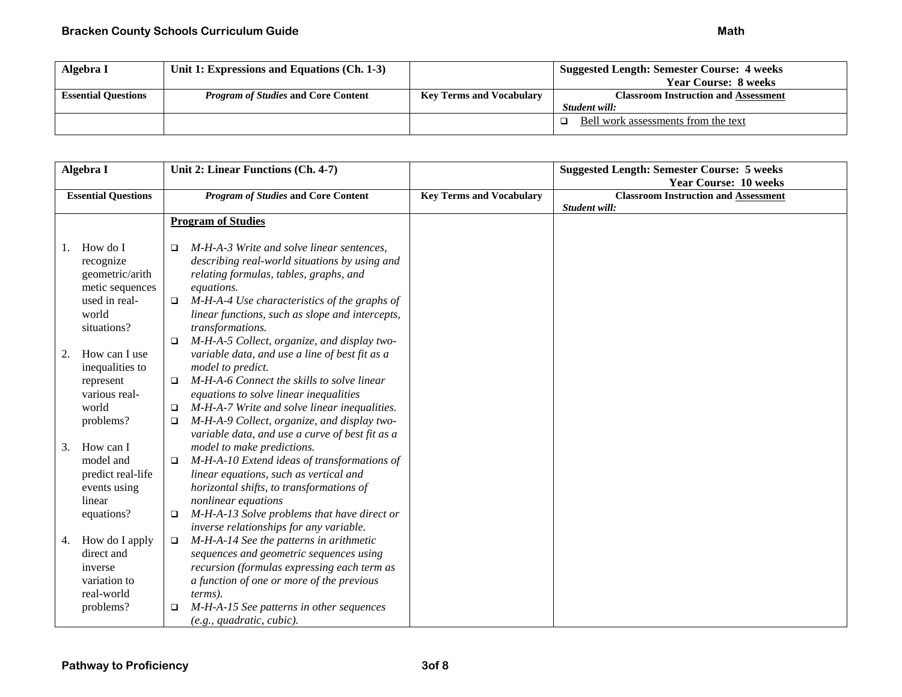| Algebra I                  | Unit 1: Expressions and Equations (Ch. 1-3) |                                 | <b>Suggested Length: Semester Course: 4 weeks</b> |
|----------------------------|---------------------------------------------|---------------------------------|---------------------------------------------------|
|                            |                                             |                                 | <b>Year Course: 8 weeks</b>                       |
| <b>Essential Questions</b> | <i>Program of Studies</i> and Core Content  | <b>Key Terms and Vocabulary</b> | <b>Classroom Instruction and Assessment</b>       |
|                            |                                             |                                 | Student will:                                     |
|                            |                                             |                                 | Bell work assessments from the text               |

| Algebra I                  |                   |        | Unit 2: Linear Functions (Ch. 4-7)              |                                 | <b>Suggested Length: Semester Course: 5 weeks</b> |
|----------------------------|-------------------|--------|-------------------------------------------------|---------------------------------|---------------------------------------------------|
|                            |                   |        |                                                 |                                 | <b>Year Course: 10 weeks</b>                      |
| <b>Essential Questions</b> |                   |        | <b>Program of Studies and Core Content</b>      | <b>Key Terms and Vocabulary</b> | <b>Classroom Instruction and Assessment</b>       |
|                            |                   |        |                                                 |                                 | Student will:                                     |
|                            |                   |        | <b>Program of Studies</b>                       |                                 |                                                   |
| Ι.                         | How do I          | □      | M-H-A-3 Write and solve linear sentences,       |                                 |                                                   |
|                            | recognize         |        | describing real-world situations by using and   |                                 |                                                   |
|                            | geometric/arith   |        | relating formulas, tables, graphs, and          |                                 |                                                   |
|                            | metic sequences   |        | equations.                                      |                                 |                                                   |
|                            | used in real-     |        | M-H-A-4 Use characteristics of the graphs of    |                                 |                                                   |
|                            | world             |        | linear functions, such as slope and intercepts, |                                 |                                                   |
|                            | situations?       |        | transformations.                                |                                 |                                                   |
|                            |                   | $\Box$ | M-H-A-5 Collect, organize, and display two-     |                                 |                                                   |
| 2.                         | How can I use     |        | variable data, and use a line of best fit as a  |                                 |                                                   |
|                            | inequalities to   |        | model to predict.                               |                                 |                                                   |
|                            | represent         | □      | M-H-A-6 Connect the skills to solve linear      |                                 |                                                   |
|                            | various real-     |        | equations to solve linear inequalities          |                                 |                                                   |
|                            | world             | $\Box$ | M-H-A-7 Write and solve linear inequalities.    |                                 |                                                   |
|                            | problems?         | □      | M-H-A-9 Collect, organize, and display two-     |                                 |                                                   |
|                            |                   |        | variable data, and use a curve of best fit as a |                                 |                                                   |
| 3.                         | How can I         |        | model to make predictions.                      |                                 |                                                   |
|                            | model and         | □      | M-H-A-10 Extend ideas of transformations of     |                                 |                                                   |
|                            | predict real-life |        | linear equations, such as vertical and          |                                 |                                                   |
|                            | events using      |        | horizontal shifts, to transformations of        |                                 |                                                   |
|                            | linear            |        | nonlinear equations                             |                                 |                                                   |
|                            | equations?        | $\Box$ | M-H-A-13 Solve problems that have direct or     |                                 |                                                   |
|                            |                   |        | inverse relationships for any variable.         |                                 |                                                   |
| 4.                         | How do I apply    | $\Box$ | M-H-A-14 See the patterns in arithmetic         |                                 |                                                   |
|                            | direct and        |        | sequences and geometric sequences using         |                                 |                                                   |
|                            | inverse           |        | recursion (formulas expressing each term as     |                                 |                                                   |
|                            | variation to      |        | a function of one or more of the previous       |                                 |                                                   |
|                            | real-world        |        | <i>terms</i> ).                                 |                                 |                                                   |
|                            | problems?         |        | M-H-A-15 See patterns in other sequences        |                                 |                                                   |
|                            |                   |        | (e.g., quadratic, cubic).                       |                                 |                                                   |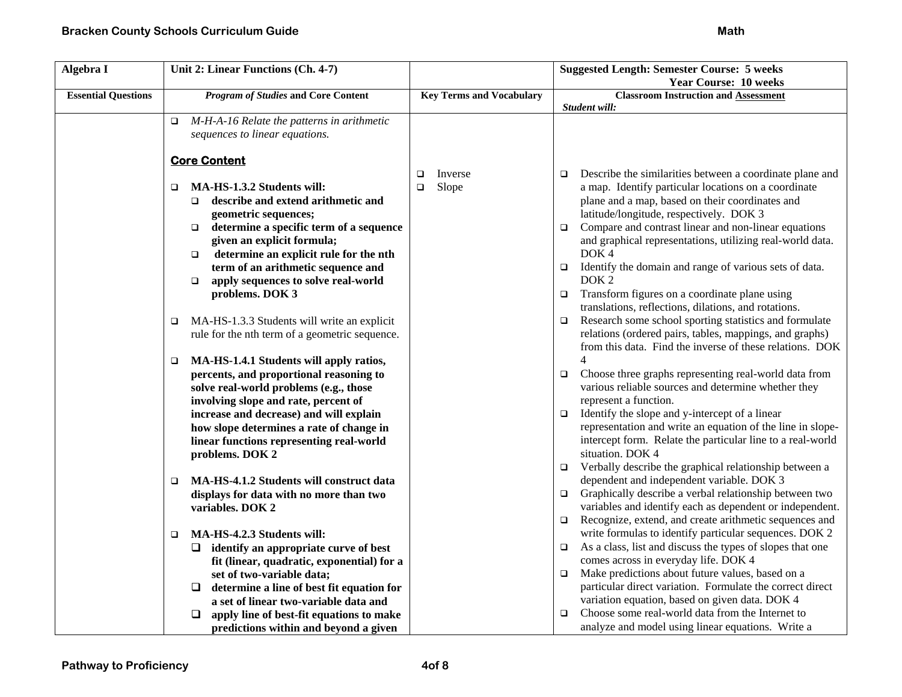| Algebra I                  | Unit 2: Linear Functions (Ch. 4-7)                   |                                 | <b>Suggested Length: Semester Course: 5 weeks</b>                   |
|----------------------------|------------------------------------------------------|---------------------------------|---------------------------------------------------------------------|
|                            |                                                      |                                 | <b>Year Course: 10 weeks</b>                                        |
| <b>Essential Questions</b> | <b>Program of Studies and Core Content</b>           | <b>Key Terms and Vocabulary</b> | <b>Classroom Instruction and Assessment</b>                         |
|                            |                                                      |                                 | Student will:                                                       |
|                            | M-H-A-16 Relate the patterns in arithmetic<br>$\Box$ |                                 |                                                                     |
|                            | sequences to linear equations.                       |                                 |                                                                     |
|                            |                                                      |                                 |                                                                     |
|                            | <b>Core Content</b>                                  |                                 |                                                                     |
|                            |                                                      | Inverse<br>$\Box$               | Describe the similarities between a coordinate plane and<br>$\Box$  |
|                            | MA-HS-1.3.2 Students will:<br>$\Box$                 | Slope<br>$\Box$                 | a map. Identify particular locations on a coordinate                |
|                            | describe and extend arithmetic and<br>$\Box$         |                                 | plane and a map, based on their coordinates and                     |
|                            | geometric sequences;                                 |                                 | latitude/longitude, respectively. DOK 3                             |
|                            | determine a specific term of a sequence<br>$\Box$    |                                 | Compare and contrast linear and non-linear equations<br>$\Box$      |
|                            | given an explicit formula;                           |                                 | and graphical representations, utilizing real-world data.           |
|                            | determine an explicit rule for the nth<br>$\Box$     |                                 | DOK <sub>4</sub>                                                    |
|                            | term of an arithmetic sequence and                   |                                 | Identify the domain and range of various sets of data.<br>$\Box$    |
|                            | apply sequences to solve real-world<br>$\Box$        |                                 | DOK <sub>2</sub>                                                    |
|                            | problems. DOK 3                                      |                                 | Transform figures on a coordinate plane using<br>$\Box$             |
|                            |                                                      |                                 | translations, reflections, dilations, and rotations.                |
|                            | MA-HS-1.3.3 Students will write an explicit<br>□     |                                 | Research some school sporting statistics and formulate<br>$\Box$    |
|                            | rule for the nth term of a geometric sequence.       |                                 | relations (ordered pairs, tables, mappings, and graphs)             |
|                            |                                                      |                                 | from this data. Find the inverse of these relations. DOK            |
|                            | MA-HS-1.4.1 Students will apply ratios,<br>$\Box$    |                                 | 4                                                                   |
|                            | percents, and proportional reasoning to              |                                 | Choose three graphs representing real-world data from<br>$\Box$     |
|                            | solve real-world problems (e.g., those               |                                 | various reliable sources and determine whether they                 |
|                            | involving slope and rate, percent of                 |                                 | represent a function.                                               |
|                            | increase and decrease) and will explain              |                                 | Identify the slope and y-intercept of a linear<br>$\Box$            |
|                            | how slope determines a rate of change in             |                                 | representation and write an equation of the line in slope-          |
|                            | linear functions representing real-world             |                                 | intercept form. Relate the particular line to a real-world          |
|                            | problems. DOK 2                                      |                                 | situation. DOK 4                                                    |
|                            |                                                      |                                 | Verbally describe the graphical relationship between a<br>$\Box$    |
|                            | MA-HS-4.1.2 Students will construct data<br>□        |                                 | dependent and independent variable. DOK 3                           |
|                            | displays for data with no more than two              |                                 | Graphically describe a verbal relationship between two<br>$\Box$    |
|                            | variables. DOK 2                                     |                                 | variables and identify each as dependent or independent.            |
|                            |                                                      |                                 | Recognize, extend, and create arithmetic sequences and<br>$\Box$    |
|                            | MA-HS-4.2.3 Students will:<br>$\Box$                 |                                 | write formulas to identify particular sequences. DOK 2              |
|                            | identify an appropriate curve of best<br>⊔           |                                 | As a class, list and discuss the types of slopes that one<br>$\Box$ |
|                            | fit (linear, quadratic, exponential) for a           |                                 | comes across in everyday life. DOK 4                                |
|                            | set of two-variable data;                            |                                 | Make predictions about future values, based on a<br>$\Box$          |
|                            | determine a line of best fit equation for<br>❏       |                                 | particular direct variation. Formulate the correct direct           |
|                            | a set of linear two-variable data and                |                                 | variation equation, based on given data. DOK 4                      |
|                            | ❏<br>apply line of best-fit equations to make        |                                 | Choose some real-world data from the Internet to<br>$\Box$          |
|                            | predictions within and beyond a given                |                                 | analyze and model using linear equations. Write a                   |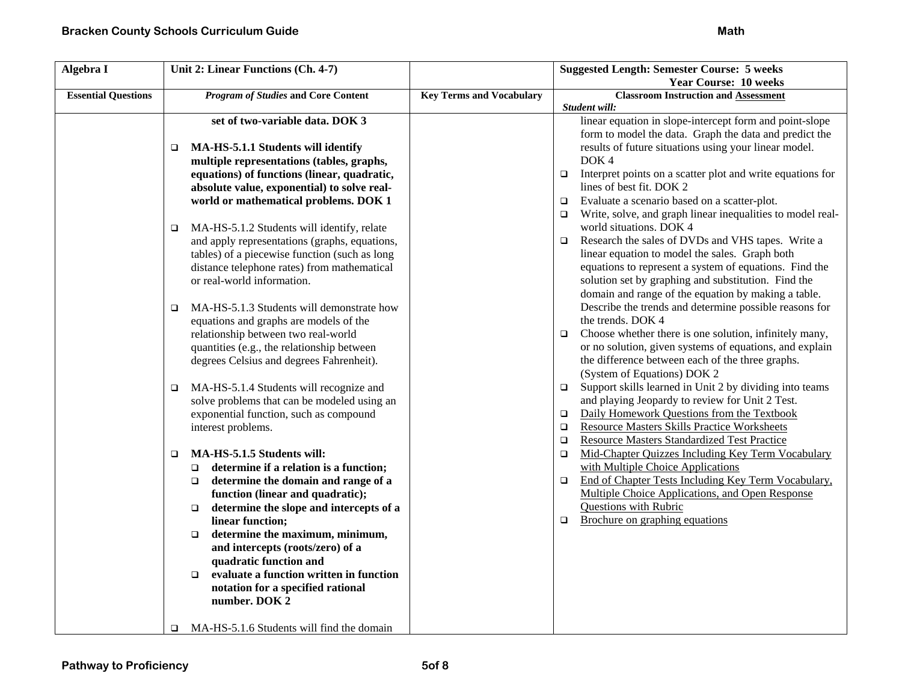| Algebra I                  | Unit 2: Linear Functions (Ch. 4-7)                   |                                 | <b>Suggested Length: Semester Course: 5 weeks</b>                    |
|----------------------------|------------------------------------------------------|---------------------------------|----------------------------------------------------------------------|
|                            |                                                      |                                 | <b>Year Course: 10 weeks</b>                                         |
| <b>Essential Questions</b> | <b>Program of Studies and Core Content</b>           | <b>Key Terms and Vocabulary</b> | <b>Classroom Instruction and Assessment</b>                          |
|                            |                                                      |                                 | Student will:                                                        |
|                            | set of two-variable data. DOK 3                      |                                 | linear equation in slope-intercept form and point-slope              |
|                            |                                                      |                                 | form to model the data. Graph the data and predict the               |
|                            | MA-HS-5.1.1 Students will identify<br>$\Box$         |                                 | results of future situations using your linear model.                |
|                            | multiple representations (tables, graphs,            |                                 | DOK4                                                                 |
|                            | equations) of functions (linear, quadratic,          |                                 | Interpret points on a scatter plot and write equations for<br>$\Box$ |
|                            | absolute value, exponential) to solve real-          |                                 | lines of best fit. DOK 2                                             |
|                            | world or mathematical problems. DOK 1                |                                 | Evaluate a scenario based on a scatter-plot.<br>$\Box$               |
|                            |                                                      |                                 | Write, solve, and graph linear inequalities to model real-<br>$\Box$ |
|                            | MA-HS-5.1.2 Students will identify, relate<br>$\Box$ |                                 | world situations. DOK 4                                              |
|                            | and apply representations (graphs, equations,        |                                 | Research the sales of DVDs and VHS tapes. Write a<br>$\Box$          |
|                            | tables) of a piecewise function (such as long        |                                 | linear equation to model the sales. Graph both                       |
|                            | distance telephone rates) from mathematical          |                                 | equations to represent a system of equations. Find the               |
|                            | or real-world information.                           |                                 | solution set by graphing and substitution. Find the                  |
|                            |                                                      |                                 | domain and range of the equation by making a table.                  |
|                            | MA-HS-5.1.3 Students will demonstrate how<br>$\Box$  |                                 | Describe the trends and determine possible reasons for               |
|                            | equations and graphs are models of the               |                                 | the trends. DOK 4                                                    |
|                            | relationship between two real-world                  |                                 | Choose whether there is one solution, infinitely many,<br>$\Box$     |
|                            | quantities (e.g., the relationship between           |                                 | or no solution, given systems of equations, and explain              |
|                            | degrees Celsius and degrees Fahrenheit).             |                                 | the difference between each of the three graphs.                     |
|                            |                                                      |                                 | (System of Equations) DOK 2                                          |
|                            | MA-HS-5.1.4 Students will recognize and<br>$\Box$    |                                 | Support skills learned in Unit 2 by dividing into teams<br>$\Box$    |
|                            | solve problems that can be modeled using an          |                                 | and playing Jeopardy to review for Unit 2 Test.                      |
|                            | exponential function, such as compound               |                                 | Daily Homework Questions from the Textbook<br>$\Box$                 |
|                            | interest problems.                                   |                                 | <b>Resource Masters Skills Practice Worksheets</b><br>$\Box$         |
|                            |                                                      |                                 | <b>Resource Masters Standardized Test Practice</b><br>$\Box$         |
|                            | MA-HS-5.1.5 Students will:<br>$\Box$                 |                                 | Mid-Chapter Quizzes Including Key Term Vocabulary<br>$\Box$          |
|                            | determine if a relation is a function;<br>$\Box$     |                                 | with Multiple Choice Applications                                    |
|                            | determine the domain and range of a<br>$\Box$        |                                 | End of Chapter Tests Including Key Term Vocabulary,<br>$\Box$        |
|                            | function (linear and quadratic);                     |                                 | Multiple Choice Applications, and Open Response                      |
|                            | determine the slope and intercepts of a<br>$\Box$    |                                 | <b>Questions with Rubric</b>                                         |
|                            | linear function;                                     |                                 | Brochure on graphing equations<br>$\Box$                             |
|                            | determine the maximum, minimum,<br>$\Box$            |                                 |                                                                      |
|                            | and intercepts (roots/zero) of a                     |                                 |                                                                      |
|                            | quadratic function and                               |                                 |                                                                      |
|                            | evaluate a function written in function<br>$\Box$    |                                 |                                                                      |
|                            | notation for a specified rational                    |                                 |                                                                      |
|                            | number. DOK 2                                        |                                 |                                                                      |
|                            |                                                      |                                 |                                                                      |
|                            | MA-HS-5.1.6 Students will find the domain<br>□       |                                 |                                                                      |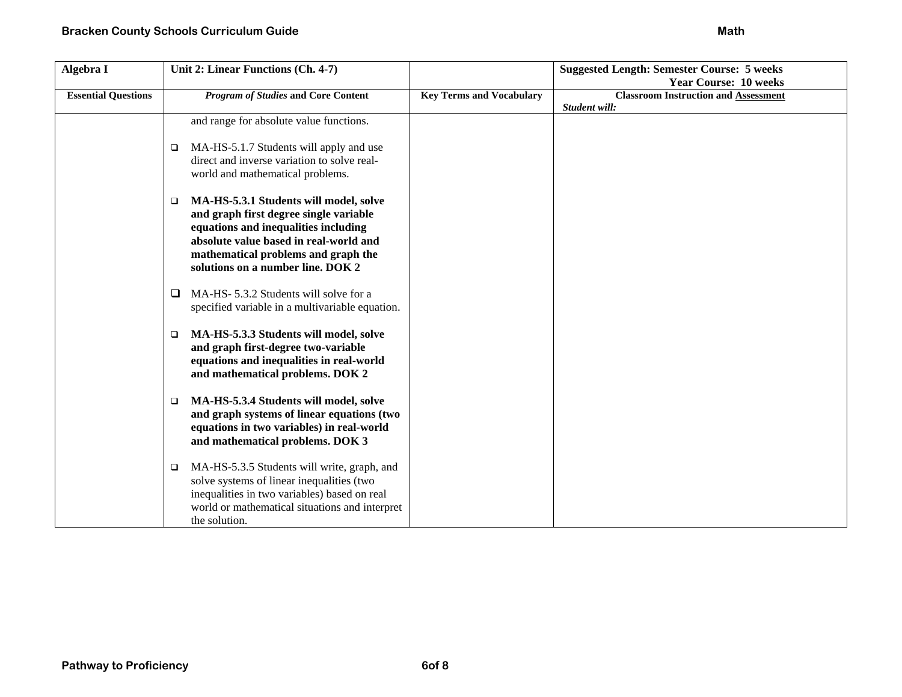| Algebra I                  | Unit 2: Linear Functions (Ch. 4-7)                                                                                                                                                                                                                       |                                 | <b>Suggested Length: Semester Course: 5 weeks</b> |
|----------------------------|----------------------------------------------------------------------------------------------------------------------------------------------------------------------------------------------------------------------------------------------------------|---------------------------------|---------------------------------------------------|
|                            |                                                                                                                                                                                                                                                          |                                 | <b>Year Course: 10 weeks</b>                      |
| <b>Essential Questions</b> | <b>Program of Studies and Core Content</b>                                                                                                                                                                                                               | <b>Key Terms and Vocabulary</b> | <b>Classroom Instruction and Assessment</b>       |
|                            |                                                                                                                                                                                                                                                          |                                 | Student will:                                     |
|                            | and range for absolute value functions.                                                                                                                                                                                                                  |                                 |                                                   |
|                            | MA-HS-5.1.7 Students will apply and use<br>□<br>direct and inverse variation to solve real-<br>world and mathematical problems.                                                                                                                          |                                 |                                                   |
|                            | MA-HS-5.3.1 Students will model, solve<br>$\Box$<br>and graph first degree single variable<br>equations and inequalities including<br>absolute value based in real-world and<br>mathematical problems and graph the<br>solutions on a number line. DOK 2 |                                 |                                                   |
|                            | MA-HS- 5.3.2 Students will solve for a<br>⊔<br>specified variable in a multivariable equation.                                                                                                                                                           |                                 |                                                   |
|                            | MA-HS-5.3.3 Students will model, solve<br>$\Box$<br>and graph first-degree two-variable<br>equations and inequalities in real-world<br>and mathematical problems. DOK 2                                                                                  |                                 |                                                   |
|                            | MA-HS-5.3.4 Students will model, solve<br>□<br>and graph systems of linear equations (two<br>equations in two variables) in real-world<br>and mathematical problems. DOK 3                                                                               |                                 |                                                   |
|                            | MA-HS-5.3.5 Students will write, graph, and<br>□<br>solve systems of linear inequalities (two<br>inequalities in two variables) based on real<br>world or mathematical situations and interpret<br>the solution.                                         |                                 |                                                   |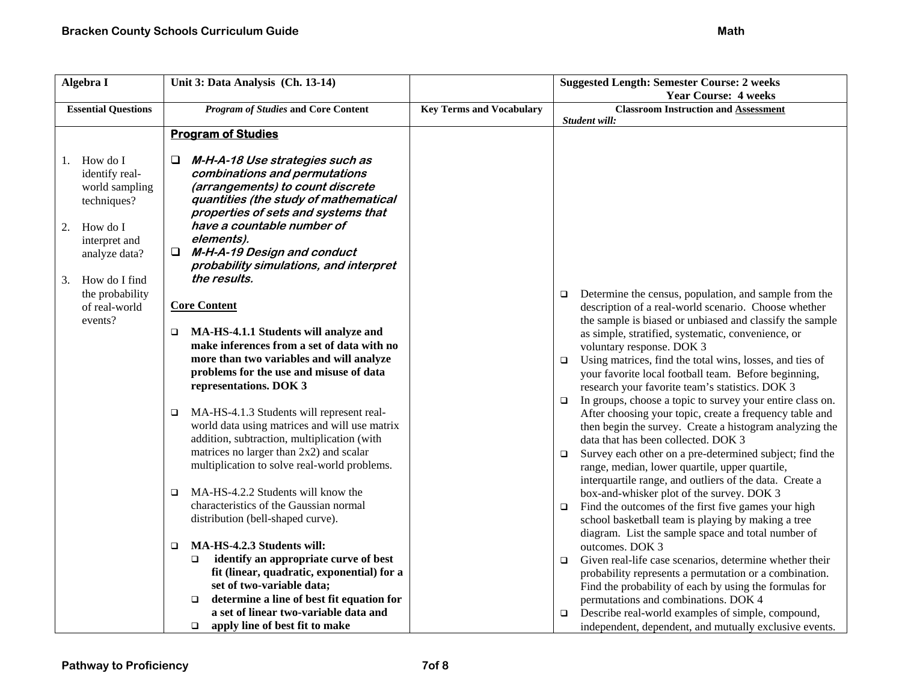| Algebra I                  | Unit 3: Data Analysis (Ch. 13-14)                                 |                                 | <b>Suggested Length: Semester Course: 2 weeks</b>                   |
|----------------------------|-------------------------------------------------------------------|---------------------------------|---------------------------------------------------------------------|
|                            |                                                                   |                                 | <b>Year Course: 4 weeks</b>                                         |
| <b>Essential Questions</b> | <b>Program of Studies and Core Content</b>                        | <b>Key Terms and Vocabulary</b> | <b>Classroom Instruction and Assessment</b>                         |
|                            |                                                                   |                                 | Student will:                                                       |
|                            | <b>Program of Studies</b>                                         |                                 |                                                                     |
|                            |                                                                   |                                 |                                                                     |
| How do I<br>1.             | M-H-A-18 Use strategies such as                                   |                                 |                                                                     |
| identify real-             | combinations and permutations                                     |                                 |                                                                     |
| world sampling             | (arrangements) to count discrete                                  |                                 |                                                                     |
| techniques?                | quantities (the study of mathematical                             |                                 |                                                                     |
|                            | properties of sets and systems that<br>have a countable number of |                                 |                                                                     |
| How do I<br>2.             | elements).                                                        |                                 |                                                                     |
| interpret and              | M-H-A-19 Design and conduct                                       |                                 |                                                                     |
| analyze data?              | probability simulations, and interpret                            |                                 |                                                                     |
| How do I find              | the results.                                                      |                                 |                                                                     |
| 3.<br>the probability      |                                                                   |                                 | Determine the census, population, and sample from the               |
| of real-world              | <b>Core Content</b>                                               |                                 | $\Box$<br>description of a real-world scenario. Choose whether      |
| events?                    |                                                                   |                                 | the sample is biased or unbiased and classify the sample            |
|                            | MA-HS-4.1.1 Students will analyze and<br>$\Box$                   |                                 | as simple, stratified, systematic, convenience, or                  |
|                            | make inferences from a set of data with no                        |                                 | voluntary response. DOK 3                                           |
|                            | more than two variables and will analyze                          |                                 | Using matrices, find the total wins, losses, and ties of<br>$\Box$  |
|                            | problems for the use and misuse of data                           |                                 | your favorite local football team. Before beginning,                |
|                            | representations. DOK 3                                            |                                 | research your favorite team's statistics. DOK 3                     |
|                            |                                                                   |                                 | In groups, choose a topic to survey your entire class on.<br>$\Box$ |
|                            | MA-HS-4.1.3 Students will represent real-<br>$\Box$               |                                 | After choosing your topic, create a frequency table and             |
|                            | world data using matrices and will use matrix                     |                                 | then begin the survey. Create a histogram analyzing the             |
|                            | addition, subtraction, multiplication (with                       |                                 | data that has been collected. DOK 3                                 |
|                            | matrices no larger than $2x2$ ) and scalar                        |                                 | Survey each other on a pre-determined subject; find the<br>$\Box$   |
|                            | multiplication to solve real-world problems.                      |                                 | range, median, lower quartile, upper quartile,                      |
|                            |                                                                   |                                 | interquartile range, and outliers of the data. Create a             |
|                            | MA-HS-4.2.2 Students will know the<br>$\Box$                      |                                 | box-and-whisker plot of the survey. DOK 3                           |
|                            | characteristics of the Gaussian normal                            |                                 | Find the outcomes of the first five games your high<br>$\Box$       |
|                            | distribution (bell-shaped curve).                                 |                                 | school basketball team is playing by making a tree                  |
|                            |                                                                   |                                 | diagram. List the sample space and total number of                  |
|                            | MA-HS-4.2.3 Students will:<br>$\Box$                              |                                 | outcomes. DOK 3                                                     |
|                            | identify an appropriate curve of best<br>$\Box$                   |                                 | Given real-life case scenarios, determine whether their<br>$\Box$   |
|                            | fit (linear, quadratic, exponential) for a                        |                                 | probability represents a permutation or a combination.              |
|                            | set of two-variable data;                                         |                                 | Find the probability of each by using the formulas for              |
|                            | determine a line of best fit equation for<br>$\Box$               |                                 | permutations and combinations. DOK 4                                |
|                            | a set of linear two-variable data and                             |                                 | Describe real-world examples of simple, compound,<br>$\Box$         |
|                            | apply line of best fit to make<br>$\Box$                          |                                 | independent, dependent, and mutually exclusive events.              |